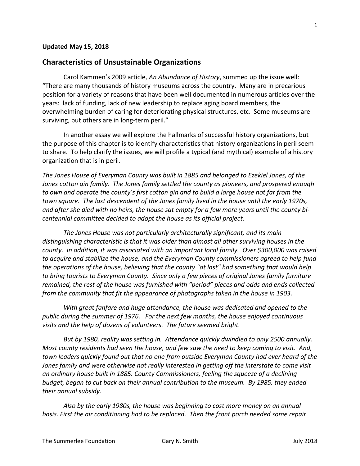## **Updated May 15, 2018**

## **Characteristics of Unsustainable Organizations**

Carol Kammen's 2009 article, *An Abundance of History*, summed up the issue well: "There are many thousands of history museums across the country. Many are in precarious position for a variety of reasons that have been well documented in numerous articles over the years: lack of funding, lack of new leadership to replace aging board members, the overwhelming burden of caring for deteriorating physical structures, etc. Some museums are surviving, but others are in long-term peril."

In another essay we will explore the hallmarks of successful history organizations, but the purpose of this chapter is to identify characteristics that history organizations in peril seem to share. To help clarify the issues, we will profile a typical (and mythical) example of a history organization that is in peril.

*The Jones House of Everyman County was built in 1885 and belonged to Ezekiel Jones, of the Jones cotton gin family. The Jones family settled the county as pioneers, and prospered enough to own and operate the county's first cotton gin and to build a large house not far from the town square. The last descendent of the Jones family lived in the house until the early 1970s, and after she died with no heirs, the house sat empty for a few more years until the county bicentennial committee decided to adopt the house as its official project.* 

*The Jones House was not particularly architecturally significant, and its main distinguishing characteristic is that it was older than almost all other surviving houses in the county. In addition, it was associated with an important local family. Over \$300,000 was raised to acquire and stabilize the house, and the Everyman County commissioners agreed to help fund the operations of the house, believing that the county "at last" had something that would help to bring tourists to Everyman County. Since only a few pieces of original Jones family furniture remained, the rest of the house was furnished with "period" pieces and odds and ends collected from the community that fit the appearance of photographs taken in the house in 1903.*

*With great fanfare and huge attendance, the house was dedicated and opened to the public during the summer of 1976. For the next few months, the house enjoyed continuous visits and the help of dozens of volunteers. The future seemed bright.*

*But by 1980, reality was setting in. Attendance quickly dwindled to only 2500 annually. Most county residents had seen the house, and few saw the need to keep coming to visit. And, town leaders quickly found out that no one from outside Everyman County had ever heard of the Jones family and were otherwise not really interested in getting off the interstate to come visit an ordinary house built in 1885. County Commissioners, feeling the squeeze of a declining budget, began to cut back on their annual contribution to the museum. By 1985, they ended their annual subsidy.*

*Also by the early 1980s, the house was beginning to cost more money on an annual basis. First the air conditioning had to be replaced. Then the front porch needed some repair*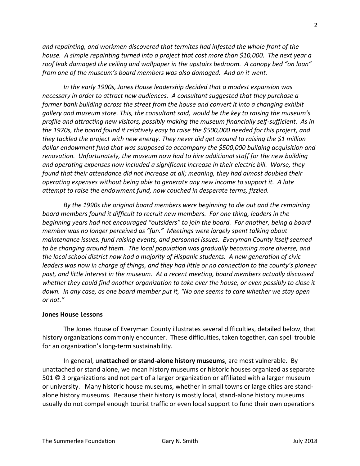*and repainting, and workmen discovered that termites had infested the whole front of the house. A simple repainting turned into a project that cost more than \$10,000. The next year a roof leak damaged the ceiling and wallpaper in the upstairs bedroom. A canopy bed "on loan" from one of the museum's board members was also damaged. And on it went.*

*In the early 1990s, Jones House leadership decided that a modest expansion was necessary in order to attract new audiences. A consultant suggested that they purchase a former bank building across the street from the house and convert it into a changing exhibit gallery and museum store. This, the consultant said, would be the key to raising the museum's profile and attracting new visitors, possibly making the museum financially self-sufficient. As in the 1970s, the board found it relatively easy to raise the \$500,000 needed for this project, and they tackled the project with new energy. They never did get around to raising the \$1 million dollar endowment fund that was supposed to accompany the \$500,000 building acquisition and renovation. Unfortunately, the museum now had to hire additional staff for the new building and operating expenses now included a significant increase in their electric bill. Worse, they found that their attendance did not increase at all; meaning, they had almost doubled their operating expenses without being able to generate any new income to support it. A late attempt to raise the endowment fund, now couched in desperate terms, fizzled.*

*By the 1990s the original board members were beginning to die out and the remaining board members found it difficult to recruit new members. For one thing, leaders in the beginning years had not encouraged "outsiders" to join the board. For another, being a board member was no longer perceived as "fun." Meetings were largely spent talking about maintenance issues, fund raising events, and personnel issues. Everyman County itself seemed to be changing around them. The local population was gradually becoming more diverse, and the local school district now had a majority of Hispanic students. A new generation of civic leaders was now in charge of things, and they had little or no connection to the county's pioneer past, and little interest in the museum. At a recent meeting, board members actually discussed whether they could find another organization to take over the house, or even possibly to close it down. In any case, as one board member put it, "No one seems to care whether we stay open or not."*

## **Jones House Lessons**

The Jones House of Everyman County illustrates several difficulties, detailed below, that history organizations commonly encounter. These difficulties, taken together, can spell trouble for an organization's long-term sustainability.

In general, u**nattached or stand-alone history museums**, are most vulnerable. By unattached or stand alone, we mean history museums or historic houses organized as separate 501 © 3 organizations and not part of a larger organization or affiliated with a larger museum or university. Many historic house museums, whether in small towns or large cities are standalone history museums. Because their history is mostly local, stand-alone history museums usually do not compel enough tourist traffic or even local support to fund their own operations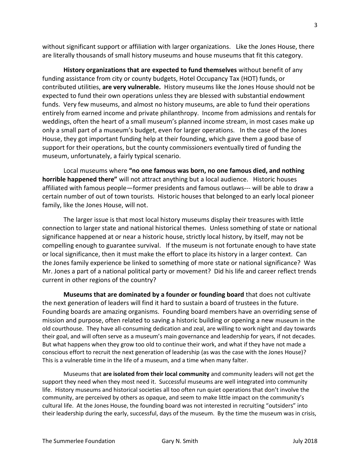without significant support or affiliation with larger organizations. Like the Jones House, there are literally thousands of small history museums and house museums that fit this category.

**History organizations that are expected to fund themselves** without benefit of any funding assistance from city or county budgets, Hotel Occupancy Tax (HOT) funds, or contributed utilities, **are very vulnerable.** History museums like the Jones House should not be expected to fund their own operations unless they are blessed with substantial endowment funds. Very few museums, and almost no history museums, are able to fund their operations entirely from earned income and private philanthropy. Income from admissions and rentals for weddings, often the heart of a small museum's planned income stream, in most cases make up only a small part of a museum's budget, even for larger operations. In the case of the Jones House, they got important funding help at their founding, which gave them a good base of support for their operations, but the county commissioners eventually tired of funding the museum, unfortunately, a fairly typical scenario.

Local museums where **"no one famous was born, no one famous died, and nothing horrible happened there"** will not attract anything but a local audience. Historic houses affiliated with famous people—former presidents and famous outlaws--- will be able to draw a certain number of out of town tourists. Historic houses that belonged to an early local pioneer family, like the Jones House, will not.

The larger issue is that most local history museums display their treasures with little connection to larger state and national historical themes. Unless something of state or national significance happened at or near a historic house, strictly local history, by itself, may not be compelling enough to guarantee survival. If the museum is not fortunate enough to have state or local significance, then it must make the effort to place its history in a larger context. Can the Jones family experience be linked to something of more state or national significance? Was Mr. Jones a part of a national political party or movement? Did his life and career reflect trends current in other regions of the country?

**Museums that are dominated by a founder or founding board** that does not cultivate the next generation of leaders will find it hard to sustain a board of trustees in the future. Founding boards are amazing organisms. Founding board members have an overriding sense of mission and purpose, often related to saving a historic building or opening a new museum in the old courthouse. They have all-consuming dedication and zeal, are willing to work night and day towards their goal, and will often serve as a museum's main governance and leadership for years, if not decades. But what happens when they grow too old to continue their work, and what if they have not made a conscious effort to recruit the next generation of leadership (as was the case with the Jones House)? This is a vulnerable time in the life of a museum, and a time when many falter.

Museums that **are isolated from their local community** and community leaders will not get the support they need when they most need it. Successful museums are well integrated into community life. History museums and historical societies all too often run quiet operations that don't involve the community, are perceived by others as opaque, and seem to make little impact on the community's cultural life. At the Jones House, the founding board was not interested in recruiting "outsiders" into their leadership during the early, successful, days of the museum. By the time the museum was in crisis,